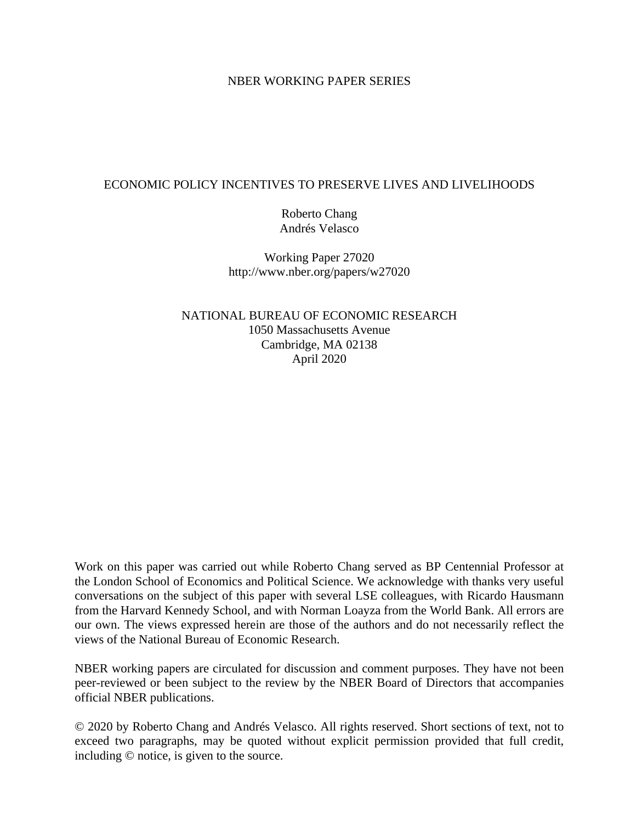#### NBER WORKING PAPER SERIES

#### ECONOMIC POLICY INCENTIVES TO PRESERVE LIVES AND LIVELIHOODS

Roberto Chang Andrés Velasco

Working Paper 27020 http://www.nber.org/papers/w27020

NATIONAL BUREAU OF ECONOMIC RESEARCH 1050 Massachusetts Avenue Cambridge, MA 02138 April 2020

Work on this paper was carried out while Roberto Chang served as BP Centennial Professor at the London School of Economics and Political Science. We acknowledge with thanks very useful conversations on the subject of this paper with several LSE colleagues, with Ricardo Hausmann from the Harvard Kennedy School, and with Norman Loayza from the World Bank. All errors are our own. The views expressed herein are those of the authors and do not necessarily reflect the views of the National Bureau of Economic Research.

NBER working papers are circulated for discussion and comment purposes. They have not been peer-reviewed or been subject to the review by the NBER Board of Directors that accompanies official NBER publications.

© 2020 by Roberto Chang and Andrés Velasco. All rights reserved. Short sections of text, not to exceed two paragraphs, may be quoted without explicit permission provided that full credit, including © notice, is given to the source.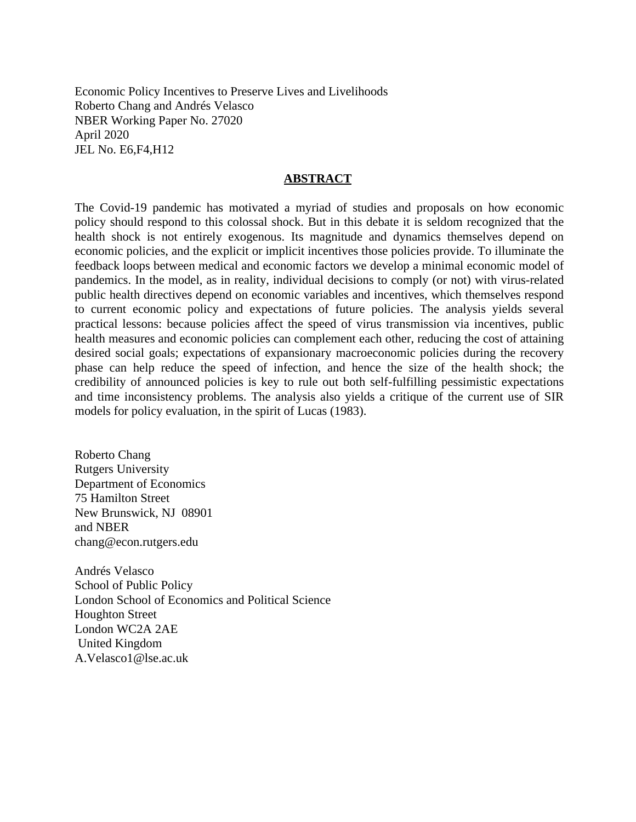Economic Policy Incentives to Preserve Lives and Livelihoods Roberto Chang and Andrés Velasco NBER Working Paper No. 27020 April 2020 JEL No. E6,F4,H12

#### **ABSTRACT**

The Covid-19 pandemic has motivated a myriad of studies and proposals on how economic policy should respond to this colossal shock. But in this debate it is seldom recognized that the health shock is not entirely exogenous. Its magnitude and dynamics themselves depend on economic policies, and the explicit or implicit incentives those policies provide. To illuminate the feedback loops between medical and economic factors we develop a minimal economic model of pandemics. In the model, as in reality, individual decisions to comply (or not) with virus-related public health directives depend on economic variables and incentives, which themselves respond to current economic policy and expectations of future policies. The analysis yields several practical lessons: because policies affect the speed of virus transmission via incentives, public health measures and economic policies can complement each other, reducing the cost of attaining desired social goals; expectations of expansionary macroeconomic policies during the recovery phase can help reduce the speed of infection, and hence the size of the health shock; the credibility of announced policies is key to rule out both self-fulfilling pessimistic expectations and time inconsistency problems. The analysis also yields a critique of the current use of SIR models for policy evaluation, in the spirit of Lucas (1983).

Roberto Chang Rutgers University Department of Economics 75 Hamilton Street New Brunswick, NJ 08901 and NBER chang@econ.rutgers.edu

Andrés Velasco School of Public Policy London School of Economics and Political Science Houghton Street London WC2A 2AE United Kingdom A.Velasco1@lse.ac.uk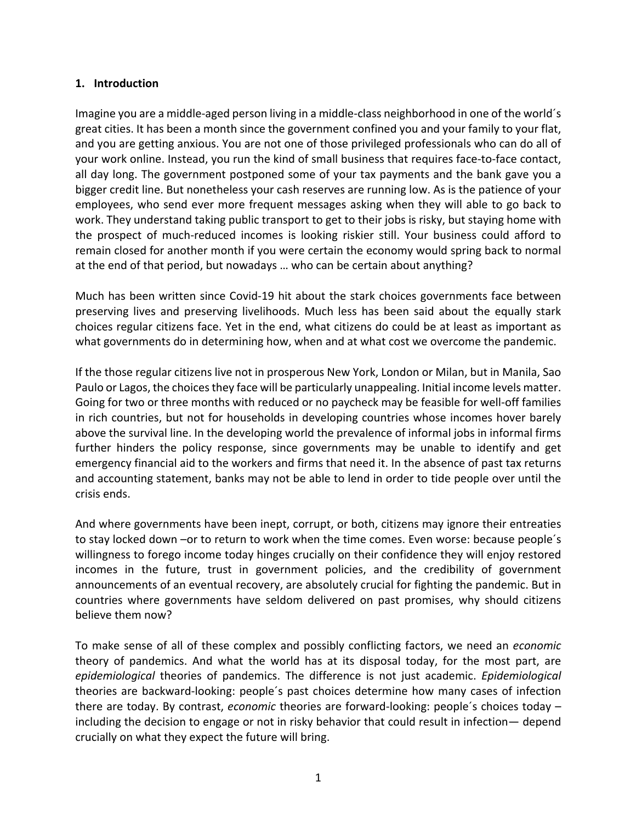### **1. Introduction**

Imagine you are a middle-aged person living in a middle-class neighborhood in one of the world´s great cities. It has been a month since the government confined you and your family to your flat, and you are getting anxious. You are not one of those privileged professionals who can do all of your work online. Instead, you run the kind of small business that requires face-to-face contact, all day long. The government postponed some of your tax payments and the bank gave you a bigger credit line. But nonetheless your cash reserves are running low. As is the patience of your employees, who send ever more frequent messages asking when they will able to go back to work. They understand taking public transport to get to their jobs is risky, but staying home with the prospect of much-reduced incomes is looking riskier still. Your business could afford to remain closed for another month if you were certain the economy would spring back to normal at the end of that period, but nowadays … who can be certain about anything?

Much has been written since Covid-19 hit about the stark choices governments face between preserving lives and preserving livelihoods. Much less has been said about the equally stark choices regular citizens face. Yet in the end, what citizens do could be at least as important as what governments do in determining how, when and at what cost we overcome the pandemic.

If the those regular citizens live not in prosperous New York, London or Milan, but in Manila, Sao Paulo or Lagos, the choices they face will be particularly unappealing. Initial income levels matter. Going for two or three months with reduced or no paycheck may be feasible for well-off families in rich countries, but not for households in developing countries whose incomes hover barely above the survival line. In the developing world the prevalence of informal jobs in informal firms further hinders the policy response, since governments may be unable to identify and get emergency financial aid to the workers and firms that need it. In the absence of past tax returns and accounting statement, banks may not be able to lend in order to tide people over until the crisis ends.

And where governments have been inept, corrupt, or both, citizens may ignore their entreaties to stay locked down –or to return to work when the time comes. Even worse: because people´s willingness to forego income today hinges crucially on their confidence they will enjoy restored incomes in the future, trust in government policies, and the credibility of government announcements of an eventual recovery, are absolutely crucial for fighting the pandemic. But in countries where governments have seldom delivered on past promises, why should citizens believe them now?

To make sense of all of these complex and possibly conflicting factors, we need an *economic*  theory of pandemics. And what the world has at its disposal today, for the most part, are *epidemiological* theories of pandemics. The difference is not just academic. *Epidemiological* theories are backward-looking: people´s past choices determine how many cases of infection there are today. By contrast, *economic* theories are forward-looking: people´s choices today – including the decision to engage or not in risky behavior that could result in infection— depend crucially on what they expect the future will bring.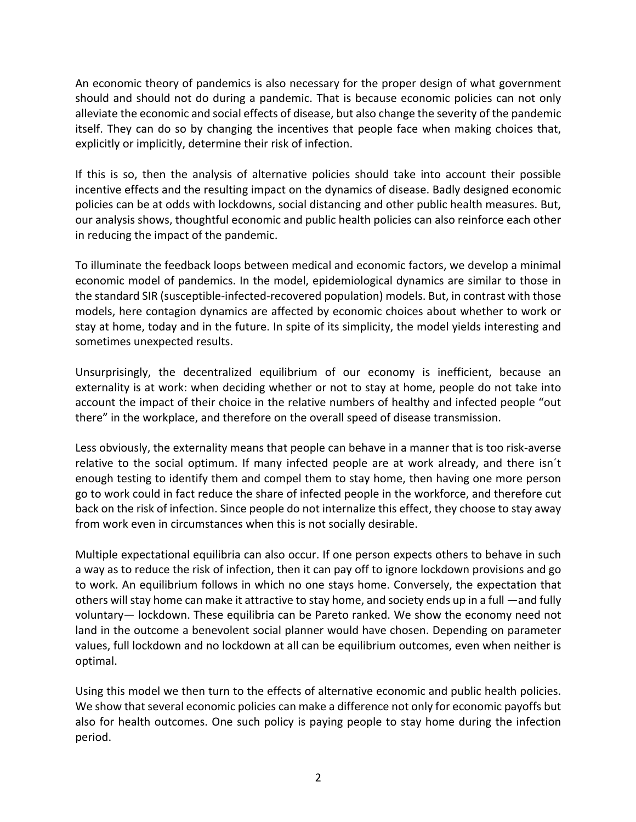An economic theory of pandemics is also necessary for the proper design of what government should and should not do during a pandemic. That is because economic policies can not only alleviate the economic and social effects of disease, but also change the severity of the pandemic itself. They can do so by changing the incentives that people face when making choices that, explicitly or implicitly, determine their risk of infection.

If this is so, then the analysis of alternative policies should take into account their possible incentive effects and the resulting impact on the dynamics of disease. Badly designed economic policies can be at odds with lockdowns, social distancing and other public health measures. But, our analysis shows, thoughtful economic and public health policies can also reinforce each other in reducing the impact of the pandemic.

To illuminate the feedback loops between medical and economic factors, we develop a minimal economic model of pandemics. In the model, epidemiological dynamics are similar to those in the standard SIR (susceptible-infected-recovered population) models. But, in contrast with those models, here contagion dynamics are affected by economic choices about whether to work or stay at home, today and in the future. In spite of its simplicity, the model yields interesting and sometimes unexpected results.

Unsurprisingly, the decentralized equilibrium of our economy is inefficient, because an externality is at work: when deciding whether or not to stay at home, people do not take into account the impact of their choice in the relative numbers of healthy and infected people "out there" in the workplace, and therefore on the overall speed of disease transmission.

Less obviously, the externality means that people can behave in a manner that is too risk-averse relative to the social optimum. If many infected people are at work already, and there isn´t enough testing to identify them and compel them to stay home, then having one more person go to work could in fact reduce the share of infected people in the workforce, and therefore cut back on the risk of infection. Since people do not internalize this effect, they choose to stay away from work even in circumstances when this is not socially desirable.

Multiple expectational equilibria can also occur. If one person expects others to behave in such a way as to reduce the risk of infection, then it can pay off to ignore lockdown provisions and go to work. An equilibrium follows in which no one stays home. Conversely, the expectation that others will stay home can make it attractive to stay home, and society ends up in a full —and fully voluntary— lockdown. These equilibria can be Pareto ranked. We show the economy need not land in the outcome a benevolent social planner would have chosen. Depending on parameter values, full lockdown and no lockdown at all can be equilibrium outcomes, even when neither is optimal.

Using this model we then turn to the effects of alternative economic and public health policies. We show that several economic policies can make a difference not only for economic payoffs but also for health outcomes. One such policy is paying people to stay home during the infection period.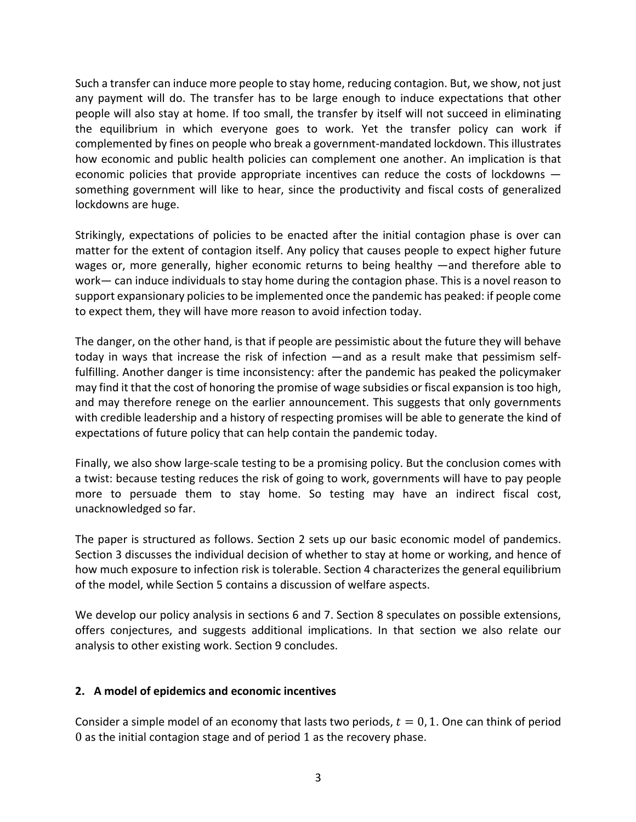Such a transfer can induce more people to stay home, reducing contagion. But, we show, not just any payment will do. The transfer has to be large enough to induce expectations that other people will also stay at home. If too small, the transfer by itself will not succeed in eliminating the equilibrium in which everyone goes to work. Yet the transfer policy can work if complemented by fines on people who break a government-mandated lockdown. This illustrates how economic and public health policies can complement one another. An implication is that economic policies that provide appropriate incentives can reduce the costs of lockdowns something government will like to hear, since the productivity and fiscal costs of generalized lockdowns are huge.

Strikingly, expectations of policies to be enacted after the initial contagion phase is over can matter for the extent of contagion itself. Any policy that causes people to expect higher future wages or, more generally, higher economic returns to being healthy —and therefore able to work— can induce individuals to stay home during the contagion phase. This is a novel reason to support expansionary policies to be implemented once the pandemic has peaked: if people come to expect them, they will have more reason to avoid infection today.

The danger, on the other hand, is that if people are pessimistic about the future they will behave today in ways that increase the risk of infection —and as a result make that pessimism selffulfilling. Another danger is time inconsistency: after the pandemic has peaked the policymaker may find it that the cost of honoring the promise of wage subsidies or fiscal expansion is too high, and may therefore renege on the earlier announcement. This suggests that only governments with credible leadership and a history of respecting promises will be able to generate the kind of expectations of future policy that can help contain the pandemic today.

Finally, we also show large-scale testing to be a promising policy. But the conclusion comes with a twist: because testing reduces the risk of going to work, governments will have to pay people more to persuade them to stay home. So testing may have an indirect fiscal cost, unacknowledged so far.

The paper is structured as follows. Section 2 sets up our basic economic model of pandemics. Section 3 discusses the individual decision of whether to stay at home or working, and hence of how much exposure to infection risk is tolerable. Section 4 characterizes the general equilibrium of the model, while Section 5 contains a discussion of welfare aspects.

We develop our policy analysis in sections 6 and 7. Section 8 speculates on possible extensions, offers conjectures, and suggests additional implications. In that section we also relate our analysis to other existing work. Section 9 concludes.

## **2. A model of epidemics and economic incentives**

Consider a simple model of an economy that lasts two periods,  $t = 0, 1$ . One can think of period 0 as the initial contagion stage and of period 1 as the recovery phase.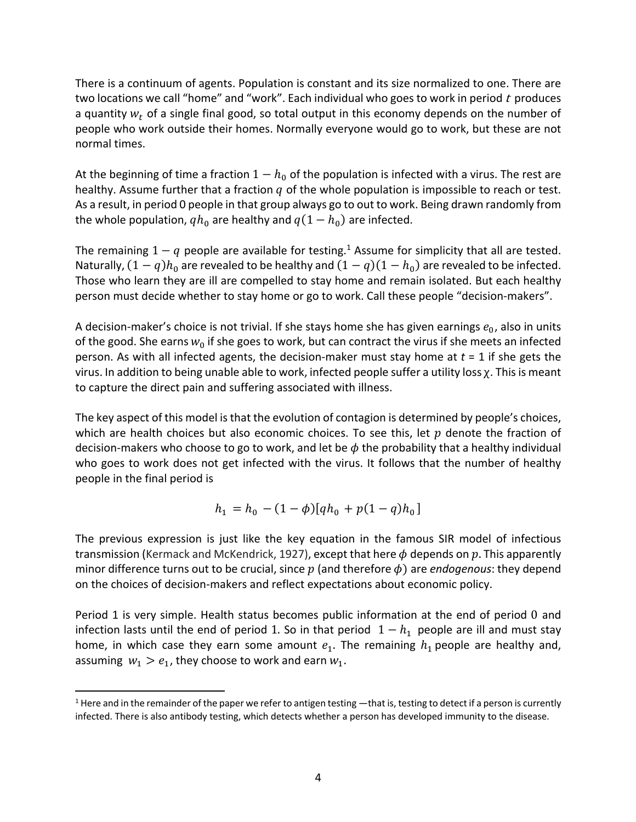There is a continuum of agents. Population is constant and its size normalized to one. There are two locations we call "home" and "work". Each individual who goes to work in period  $t$  produces a quantity  $w_t$  of a single final good, so total output in this economy depends on the number of people who work outside their homes. Normally everyone would go to work, but these are not normal times.

At the beginning of time a fraction  $1 - h_0$  of the population is infected with a virus. The rest are healthy. Assume further that a fraction  $q$  of the whole population is impossible to reach or test. As a result, in period 0 people in that group always go to out to work. Being drawn randomly from the whole population,  $qh_0$  are healthy and  $q(1 - h_0)$  are infected.

The remaining  $1 - q$  people are available for testing.<sup>1</sup> Assume for simplicity that all are tested. Naturally,  $(1 - q)h_0$  are revealed to be healthy and  $(1 - q)(1 - h_0)$  are revealed to be infected. Those who learn they are ill are compelled to stay home and remain isolated. But each healthy person must decide whether to stay home or go to work. Call these people "decision-makers".

A decision-maker's choice is not trivial. If she stays home she has given earnings  $e_0$ , also in units of the good. She earns  $w_0$  if she goes to work, but can contract the virus if she meets an infected person. As with all infected agents, the decision-maker must stay home at *t* = 1 if she gets the virus. In addition to being unable able to work, infected people suffer a utility loss χ. This is meant to capture the direct pain and suffering associated with illness.

The key aspect of this model is that the evolution of contagion is determined by people's choices, which are health choices but also economic choices. To see this, let  $p$  denote the fraction of decision-makers who choose to go to work, and let be  $\phi$  the probability that a healthy individual who goes to work does not get infected with the virus. It follows that the number of healthy people in the final period is

$$
h_1 = h_0 - (1 - \phi)[qh_0 + p(1 - q)h_0]
$$

The previous expression is just like the key equation in the famous SIR model of infectious transmission (Kermack and McKendrick, 1927), except that here  $\phi$  depends on  $p$ . This apparently minor difference turns out to be crucial, since  $p$  (and therefore  $\phi$ ) are *endogenous*: they depend on the choices of decision-makers and reflect expectations about economic policy.

Period 1 is very simple. Health status becomes public information at the end of period 0 and infection lasts until the end of period 1. So in that period  $1 - h_1$  people are ill and must stay home, in which case they earn some amount  $e_1$ . The remaining  $h_1$  people are healthy and, assuming  $w_1 > e_1$ , they choose to work and earn  $w_1$ .

 $1$  Here and in the remainder of the paper we refer to antigen testing —that is, testing to detect if a person is currently infected. There is also antibody testing, which detects whether a person has developed immunity to the disease.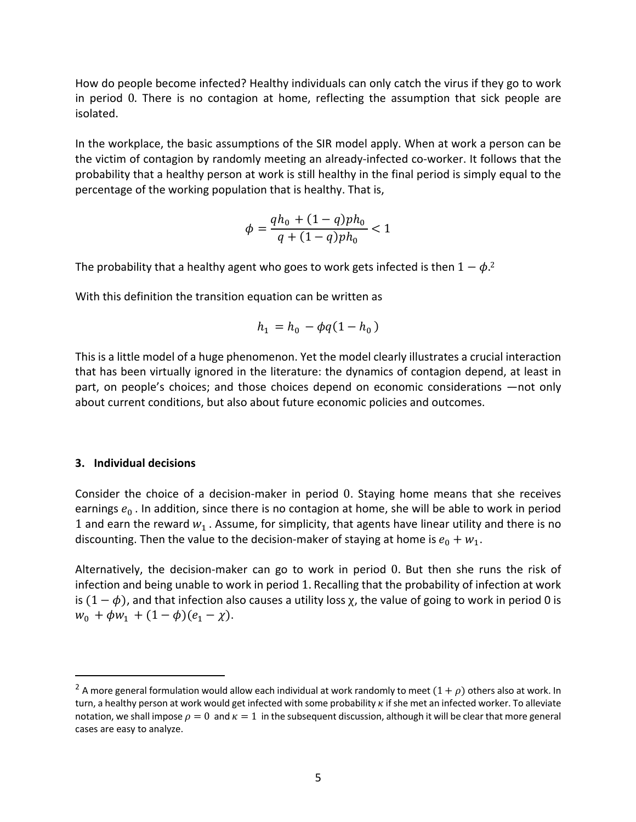How do people become infected? Healthy individuals can only catch the virus if they go to work in period 0. There is no contagion at home, reflecting the assumption that sick people are isolated.

In the workplace, the basic assumptions of the SIR model apply. When at work a person can be the victim of contagion by randomly meeting an already-infected co-worker. It follows that the probability that a healthy person at work is still healthy in the final period is simply equal to the percentage of the working population that is healthy. That is,

$$
\phi = \frac{qh_0 + (1-q)ph_0}{q + (1-q)ph_0} < 1
$$

The probability that a healthy agent who goes to work gets infected is then  $1 - \phi$ .<sup>2</sup>

With this definition the transition equation can be written as

$$
h_1 = h_0 - \phi q (1 - h_0)
$$

This is a little model of a huge phenomenon. Yet the model clearly illustrates a crucial interaction that has been virtually ignored in the literature: the dynamics of contagion depend, at least in part, on people's choices; and those choices depend on economic considerations —not only about current conditions, but also about future economic policies and outcomes.

#### **3. Individual decisions**

Consider the choice of a decision-maker in period 0. Staying home means that she receives earnings  $e_0$ . In addition, since there is no contagion at home, she will be able to work in period 1 and earn the reward  $w_1$ . Assume, for simplicity, that agents have linear utility and there is no discounting. Then the value to the decision-maker of staying at home is  $e_0 + w_1$ .

Alternatively, the decision-maker can go to work in period 0. But then she runs the risk of infection and being unable to work in period 1. Recalling that the probability of infection at work is  $(1 - \phi)$ , and that infection also causes a utility loss x, the value of going to work in period 0 is  $w_0 + \phi w_1 + (1 - \phi)(e_1 - \chi)$ .

<sup>&</sup>lt;sup>2</sup> A more general formulation would allow each individual at work randomly to meet  $(1 + \rho)$  others also at work. In turn, a healthy person at work would get infected with some probability  $\kappa$  if she met an infected worker. To alleviate notation, we shall impose  $\rho = 0$  and  $\kappa = 1$  in the subsequent discussion, although it will be clear that more general cases are easy to analyze.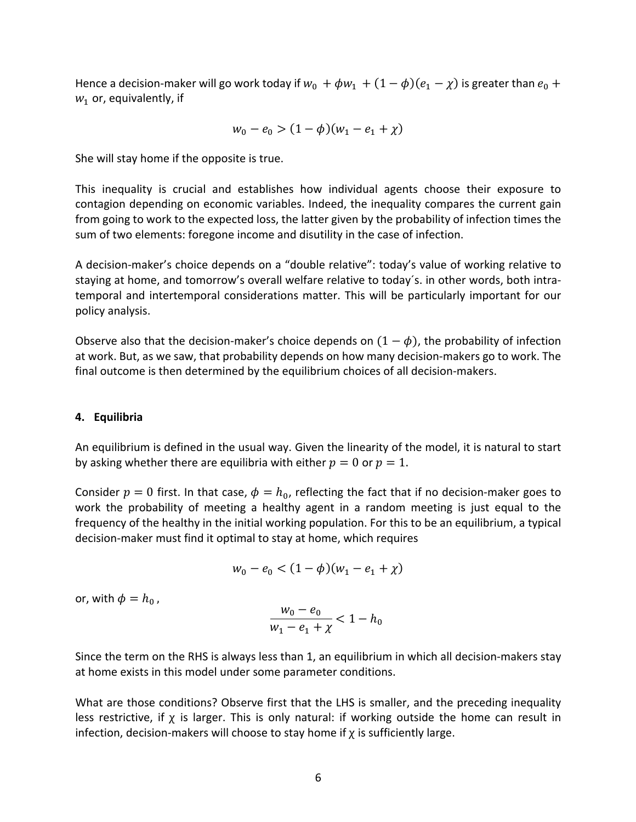Hence a decision-maker will go work today if  $w_0 + \phi w_1 + (1 - \phi)(e_1 - \chi)$  is greater than  $e_0$  +  $w_1$  or, equivalently, if

$$
w_0 - e_0 > (1 - \phi)(w_1 - e_1 + \chi)
$$

She will stay home if the opposite is true.

This inequality is crucial and establishes how individual agents choose their exposure to contagion depending on economic variables. Indeed, the inequality compares the current gain from going to work to the expected loss, the latter given by the probability of infection times the sum of two elements: foregone income and disutility in the case of infection.

A decision-maker's choice depends on a "double relative": today's value of working relative to staying at home, and tomorrow's overall welfare relative to today´s. in other words, both intratemporal and intertemporal considerations matter. This will be particularly important for our policy analysis.

Observe also that the decision-maker's choice depends on  $(1 - \phi)$ , the probability of infection at work. But, as we saw, that probability depends on how many decision-makers go to work. The final outcome is then determined by the equilibrium choices of all decision-makers.

#### **4. Equilibria**

An equilibrium is defined in the usual way. Given the linearity of the model, it is natural to start by asking whether there are equilibria with either  $p = 0$  or  $p = 1$ .

Consider  $p = 0$  first. In that case,  $\phi = h_0$ , reflecting the fact that if no decision-maker goes to work the probability of meeting a healthy agent in a random meeting is just equal to the frequency of the healthy in the initial working population. For this to be an equilibrium, a typical decision-maker must find it optimal to stay at home, which requires

$$
w_0 - e_0 < (1 - \phi)(w_1 - e_1 + \chi)
$$

or, with  $\phi = h_0$ ,

$$
\frac{w_0 - e_0}{w_1 - e_1 + \chi} < 1 - h_0
$$

Since the term on the RHS is always less than 1, an equilibrium in which all decision-makers stay at home exists in this model under some parameter conditions.

What are those conditions? Observe first that the LHS is smaller, and the preceding inequality less restrictive, if  $\chi$  is larger. This is only natural: if working outside the home can result in infection, decision-makers will choose to stay home if  $\chi$  is sufficiently large.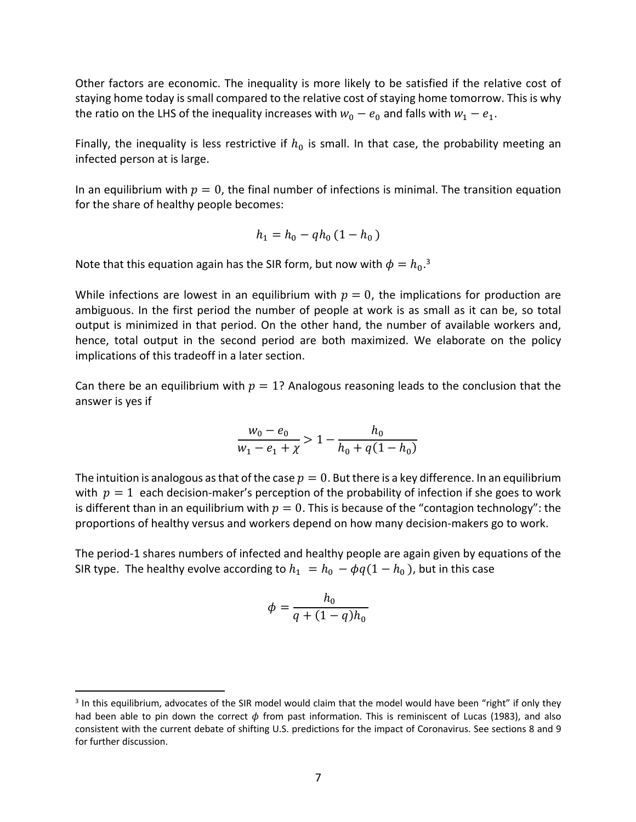Other factors are economic. The inequality is more likely to be satisfied if the relative cost of staying home today is small compared to the relative cost of staying home tomorrow. This is why the ratio on the LHS of the inequality increases with  $w_0 - e_0$  and falls with  $w_1 - e_1$ .

Finally, the inequality is less restrictive if  $h_0$  is small. In that case, the probability meeting an infected person at is large.

In an equilibrium with  $p = 0$ , the final number of infections is minimal. The transition equation for the share of healthy people becomes:

$$
h_1 = h_0 - q h_0 (1 - h_0)
$$

Note that this equation again has the SIR form, but now with  $\phi = h_0$ .<sup>3</sup>

While infections are lowest in an equilibrium with  $p = 0$ , the implications for production are ambiguous. In the first period the number of people at work is as small as it can be, so total output is minimized in that period. On the other hand, the number of available workers and, hence, total output in the second period are both maximized. We elaborate on the policy implications of this tradeoff in a later section.

Can there be an equilibrium with  $p = 1$ ? Analogous reasoning leads to the conclusion that the answer is yes if

$$
\frac{w_0 - e_0}{w_1 - e_1 + \chi} > 1 - \frac{h_0}{h_0 + q(1 - h_0)}
$$

The intuition is analogous as that of the case  $p = 0$ . But there is a key difference. In an equilibrium with  $p = 1$  each decision-maker's perception of the probability of infection if she goes to work is different than in an equilibrium with  $p = 0$ . This is because of the "contagion technology": the proportions of healthy versus and workers depend on how many decision-makers go to work.

The period-1 shares numbers of infected and healthy people are again given by equations of the SIR type. The healthy evolve according to  $h_1 = h_0 - \phi q (1 - h_0)$ , but in this case

$$
\phi = \frac{h_0}{q + (1 - q)h_0}
$$

<sup>&</sup>lt;sup>3</sup> In this equilibrium, advocates of the SIR model would claim that the model would have been "right" if only they had been able to pin down the correct  $\phi$  from past information. This is reminiscent of Lucas (1983), and also consistent with the current debate of shifting U.S. predictions for the impact of Coronavirus. See sections 8 and 9 for further discussion.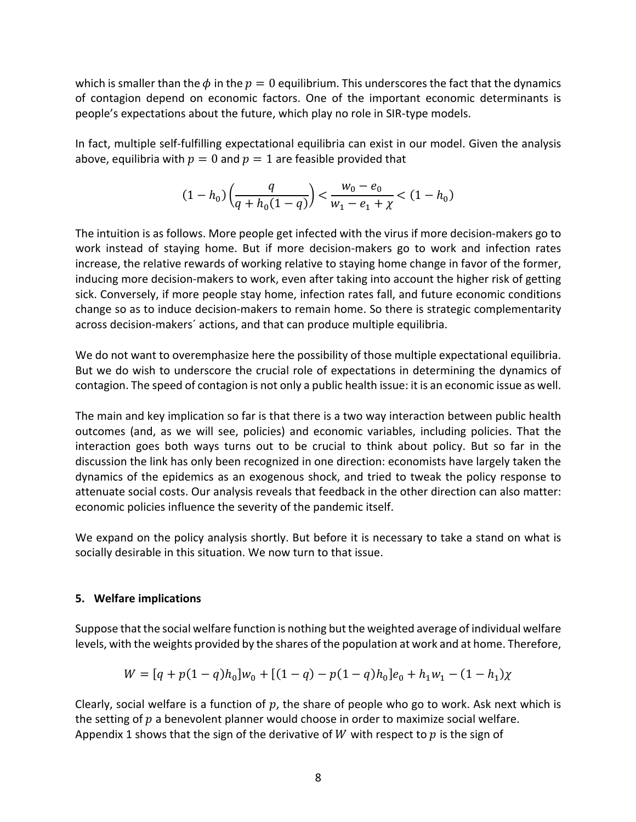which is smaller than the  $\phi$  in the  $p = 0$  equilibrium. This underscores the fact that the dynamics of contagion depend on economic factors. One of the important economic determinants is people's expectations about the future, which play no role in SIR-type models.

In fact, multiple self-fulfilling expectational equilibria can exist in our model. Given the analysis above, equilibria with  $p = 0$  and  $p = 1$  are feasible provided that

$$
(1-h_0)\left(\frac{q}{q+h_0(1-q)}\right) < \frac{w_0 - e_0}{w_1 - e_1 + \chi} < (1-h_0)
$$

The intuition is as follows. More people get infected with the virus if more decision-makers go to work instead of staying home. But if more decision-makers go to work and infection rates increase, the relative rewards of working relative to staying home change in favor of the former, inducing more decision-makers to work, even after taking into account the higher risk of getting sick. Conversely, if more people stay home, infection rates fall, and future economic conditions change so as to induce decision-makers to remain home. So there is strategic complementarity across decision-makers´ actions, and that can produce multiple equilibria.

We do not want to overemphasize here the possibility of those multiple expectational equilibria. But we do wish to underscore the crucial role of expectations in determining the dynamics of contagion. The speed of contagion is not only a public health issue: it is an economic issue as well.

The main and key implication so far is that there is a two way interaction between public health outcomes (and, as we will see, policies) and economic variables, including policies. That the interaction goes both ways turns out to be crucial to think about policy. But so far in the discussion the link has only been recognized in one direction: economists have largely taken the dynamics of the epidemics as an exogenous shock, and tried to tweak the policy response to attenuate social costs. Our analysis reveals that feedback in the other direction can also matter: economic policies influence the severity of the pandemic itself.

We expand on the policy analysis shortly. But before it is necessary to take a stand on what is socially desirable in this situation. We now turn to that issue.

## **5. Welfare implications**

Suppose that the social welfare function is nothing but the weighted average of individual welfare levels, with the weights provided by the shares of the population at work and at home. Therefore,

$$
W = [q + p(1 - q)h_0]w_0 + [(1 - q) - p(1 - q)h_0]e_0 + h_1w_1 - (1 - h_1)\chi
$$

Clearly, social welfare is a function of  $p$ , the share of people who go to work. Ask next which is the setting of  $p$  a benevolent planner would choose in order to maximize social welfare. Appendix 1 shows that the sign of the derivative of W with respect to p is the sign of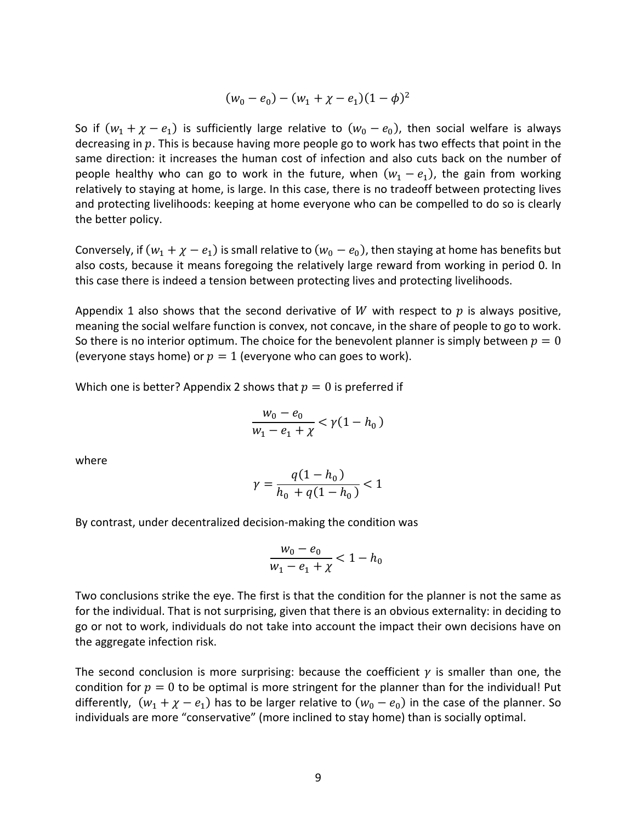$$
(w_0 - e_0) - (w_1 + \chi - e_1)(1 - \phi)^2
$$

So if  $(w_1 + \chi - e_1)$  is sufficiently large relative to  $(w_0 - e_0)$ , then social welfare is always decreasing in  $p$ . This is because having more people go to work has two effects that point in the same direction: it increases the human cost of infection and also cuts back on the number of people healthy who can go to work in the future, when  $(w_1 - e_1)$ , the gain from working relatively to staying at home, is large. In this case, there is no tradeoff between protecting lives and protecting livelihoods: keeping at home everyone who can be compelled to do so is clearly the better policy.

Conversely, if  $(w_1 + \chi - e_1)$  is small relative to  $(w_0 - e_0)$ , then staying at home has benefits but also costs, because it means foregoing the relatively large reward from working in period 0. In this case there is indeed a tension between protecting lives and protecting livelihoods.

Appendix 1 also shows that the second derivative of W with respect to  $p$  is always positive, meaning the social welfare function is convex, not concave, in the share of people to go to work. So there is no interior optimum. The choice for the benevolent planner is simply between  $p = 0$ (everyone stays home) or  $p = 1$  (everyone who can goes to work).

Which one is better? Appendix 2 shows that  $p = 0$  is preferred if

$$
\frac{w_0 - e_0}{w_1 - e_1 + \chi} < \gamma(1 - h_0)
$$

where

$$
\gamma = \frac{q(1 - h_0)}{h_0 + q(1 - h_0)} < 1
$$

By contrast, under decentralized decision-making the condition was

$$
\frac{w_0 - e_0}{w_1 - e_1 + \chi} < 1 - h_0
$$

Two conclusions strike the eye. The first is that the condition for the planner is not the same as for the individual. That is not surprising, given that there is an obvious externality: in deciding to go or not to work, individuals do not take into account the impact their own decisions have on the aggregate infection risk.

The second conclusion is more surprising: because the coefficient  $\gamma$  is smaller than one, the condition for  $p = 0$  to be optimal is more stringent for the planner than for the individual! Put differently,  $(w_1 + \chi - e_1)$  has to be larger relative to  $(w_0 - e_0)$  in the case of the planner. So individuals are more "conservative" (more inclined to stay home) than is socially optimal.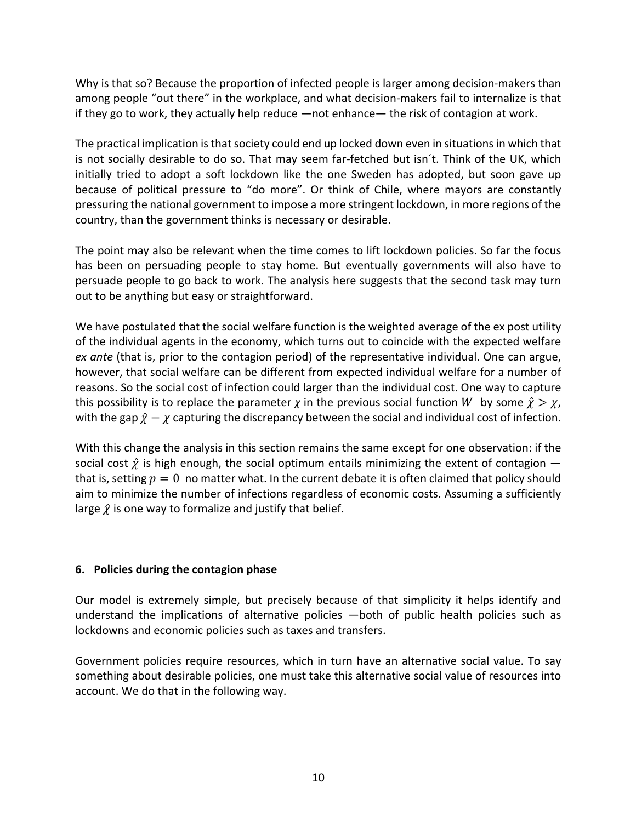Why is that so? Because the proportion of infected people is larger among decision-makers than among people "out there" in the workplace, and what decision-makers fail to internalize is that if they go to work, they actually help reduce —not enhance— the risk of contagion at work.

The practical implication is that society could end up locked down even in situations in which that is not socially desirable to do so. That may seem far-fetched but isn´t. Think of the UK, which initially tried to adopt a soft lockdown like the one Sweden has adopted, but soon gave up because of political pressure to "do more". Or think of Chile, where mayors are constantly pressuring the national government to impose a more stringent lockdown, in more regions of the country, than the government thinks is necessary or desirable.

The point may also be relevant when the time comes to lift lockdown policies. So far the focus has been on persuading people to stay home. But eventually governments will also have to persuade people to go back to work. The analysis here suggests that the second task may turn out to be anything but easy or straightforward.

We have postulated that the social welfare function is the weighted average of the ex post utility of the individual agents in the economy, which turns out to coincide with the expected welfare *ex ante* (that is, prior to the contagion period) of the representative individual. One can argue, however, that social welfare can be different from expected individual welfare for a number of reasons. So the social cost of infection could larger than the individual cost. One way to capture this possibility is to replace the parameter  $\chi$  in the previous social function W by some  $\hat{\chi} > \chi$ , with the gap  $\hat{\chi} - \chi$  capturing the discrepancy between the social and individual cost of infection.

With this change the analysis in this section remains the same except for one observation: if the social cost  $\hat{\gamma}$  is high enough, the social optimum entails minimizing the extent of contagion that is, setting  $p = 0$  no matter what. In the current debate it is often claimed that policy should aim to minimize the number of infections regardless of economic costs. Assuming a sufficiently large  $\hat{\chi}$  is one way to formalize and justify that belief.

## **6. Policies during the contagion phase**

Our model is extremely simple, but precisely because of that simplicity it helps identify and understand the implications of alternative policies —both of public health policies such as lockdowns and economic policies such as taxes and transfers.

Government policies require resources, which in turn have an alternative social value. To say something about desirable policies, one must take this alternative social value of resources into account. We do that in the following way.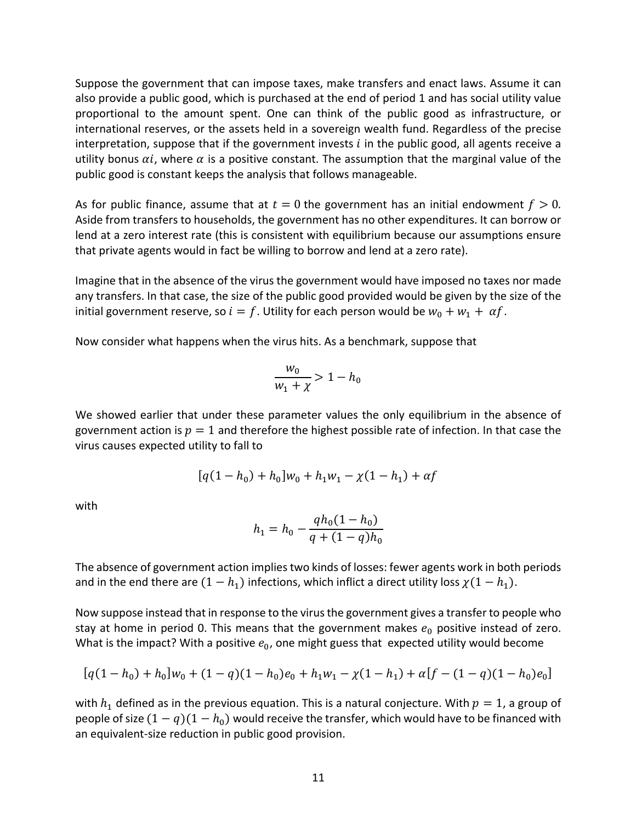Suppose the government that can impose taxes, make transfers and enact laws. Assume it can also provide a public good, which is purchased at the end of period 1 and has social utility value proportional to the amount spent. One can think of the public good as infrastructure, or international reserves, or the assets held in a sovereign wealth fund. Regardless of the precise interpretation, suppose that if the government invests  $i$  in the public good, all agents receive a utility bonus  $ai$ , where  $\alpha$  is a positive constant. The assumption that the marginal value of the public good is constant keeps the analysis that follows manageable.

As for public finance, assume that at  $t = 0$  the government has an initial endowment  $f > 0$ . Aside from transfers to households, the government has no other expenditures. It can borrow or lend at a zero interest rate (this is consistent with equilibrium because our assumptions ensure that private agents would in fact be willing to borrow and lend at a zero rate).

Imagine that in the absence of the virus the government would have imposed no taxes nor made any transfers. In that case, the size of the public good provided would be given by the size of the initial government reserve, so  $i = f$ . Utility for each person would be  $w_0 + w_1 + \alpha f$ .

Now consider what happens when the virus hits. As a benchmark, suppose that

$$
\frac{w_0}{w_1 + \chi} > 1 - h_0
$$

We showed earlier that under these parameter values the only equilibrium in the absence of government action is  $p = 1$  and therefore the highest possible rate of infection. In that case the virus causes expected utility to fall to

$$
[q(1 - h_0) + h_0]w_0 + h_1w_1 - \chi(1 - h_1) + \alpha f
$$

with

$$
h_1 = h_0 - \frac{qh_0(1 - h_0)}{q + (1 - q)h_0}
$$

The absence of government action implies two kinds of losses: fewer agents work in both periods and in the end there are  $(1 - h_1)$  infections, which inflict a direct utility loss  $\chi(1 - h_1)$ .

Now suppose instead that in response to the virus the government gives a transfer to people who stay at home in period 0. This means that the government makes  $e_0$  positive instead of zero. What is the impact? With a positive  $e_0$ , one might guess that expected utility would become

$$
[q(1-h_0) + h_0]w_0 + (1-q)(1-h_0)e_0 + h_1w_1 - \chi(1-h_1) + \alpha[f-(1-q)(1-h_0)e_0]
$$

with  $h_1$  defined as in the previous equation. This is a natural conjecture. With  $p = 1$ , a group of people of size  $(1 - q)(1 - h_0)$  would receive the transfer, which would have to be financed with an equivalent-size reduction in public good provision.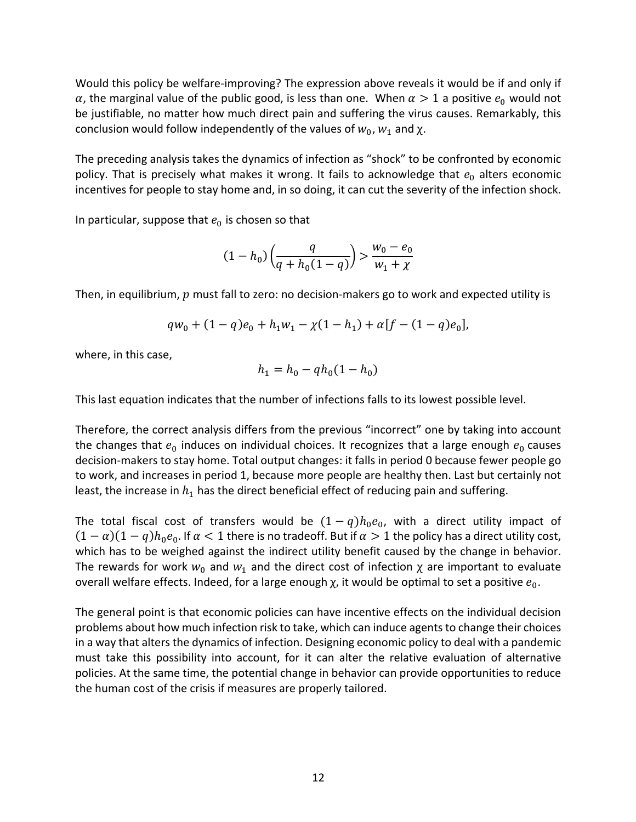Would this policy be welfare-improving? The expression above reveals it would be if and only if  $\alpha$ , the marginal value of the public good, is less than one. When  $\alpha > 1$  a positive  $e_0$  would not be justifiable, no matter how much direct pain and suffering the virus causes. Remarkably, this conclusion would follow independently of the values of  $w_0$ ,  $w_1$  and  $\chi$ .

The preceding analysis takes the dynamics of infection as "shock" to be confronted by economic policy. That is precisely what makes it wrong. It fails to acknowledge that  $e_0$  alters economic incentives for people to stay home and, in so doing, it can cut the severity of the infection shock.

In particular, suppose that  $e_0$  is chosen so that

$$
(1 - h_0) \left(\frac{q}{q + h_0(1 - q)}\right) > \frac{w_0 - e_0}{w_1 + \chi}
$$

Then, in equilibrium,  $p$  must fall to zero: no decision-makers go to work and expected utility is

$$
qw_0 + (1-q)e_0 + h_1w_1 - \chi(1-h_1) + \alpha[f-(1-q)e_0],
$$

where, in this case,

$$
h_1 = h_0 - q h_0 (1 - h_0)
$$

This last equation indicates that the number of infections falls to its lowest possible level.

Therefore, the correct analysis differs from the previous "incorrect" one by taking into account the changes that  $e_0$  induces on individual choices. It recognizes that a large enough  $e_0$  causes decision-makers to stay home. Total output changes: it falls in period 0 because fewer people go to work, and increases in period 1, because more people are healthy then. Last but certainly not least, the increase in  $h_1$  has the direct beneficial effect of reducing pain and suffering.

The total fiscal cost of transfers would be  $(1 - q)h_0e_0$ , with a direct utility impact of  $(1 - \alpha)(1 - q)h_0e_0$ . If  $\alpha < 1$  there is no tradeoff. But if  $\alpha > 1$  the policy has a direct utility cost, which has to be weighed against the indirect utility benefit caused by the change in behavior. The rewards for work  $w_0$  and  $w_1$  and the direct cost of infection  $\chi$  are important to evaluate overall welfare effects. Indeed, for a large enough  $\chi$ , it would be optimal to set a positive  $e_0$ .

The general point is that economic policies can have incentive effects on the individual decision problems about how much infection risk to take, which can induce agents to change their choices in a way that alters the dynamics of infection. Designing economic policy to deal with a pandemic must take this possibility into account, for it can alter the relative evaluation of alternative policies. At the same time, the potential change in behavior can provide opportunities to reduce the human cost of the crisis if measures are properly tailored.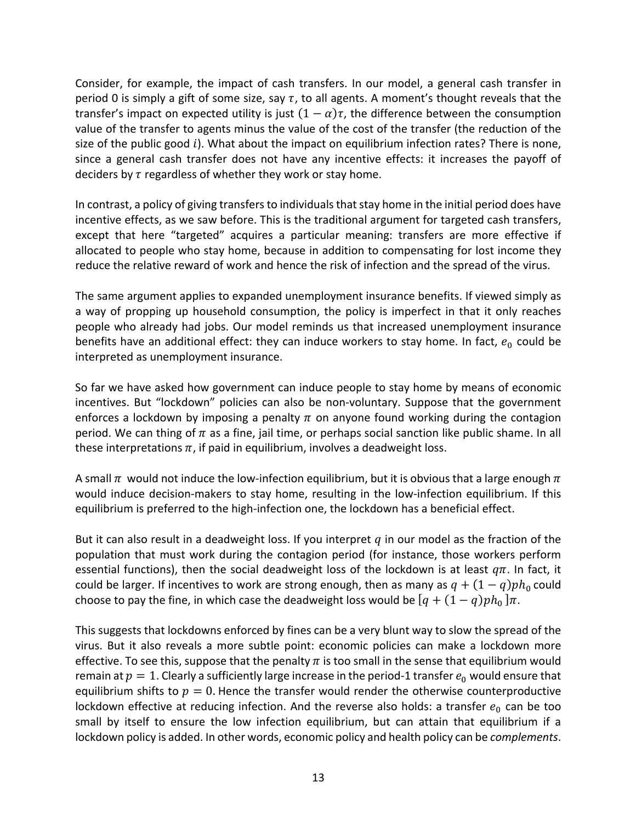Consider, for example, the impact of cash transfers. In our model, a general cash transfer in period 0 is simply a gift of some size, say  $\tau$ , to all agents. A moment's thought reveals that the transfer's impact on expected utility is just  $(1 - \alpha)\tau$ , the difference between the consumption value of the transfer to agents minus the value of the cost of the transfer (the reduction of the size of the public good  $i$ ). What about the impact on equilibrium infection rates? There is none, since a general cash transfer does not have any incentive effects: it increases the payoff of deciders by  $\tau$  regardless of whether they work or stay home.

In contrast, a policy of giving transfers to individuals that stay home in the initial period does have incentive effects, as we saw before. This is the traditional argument for targeted cash transfers, except that here "targeted" acquires a particular meaning: transfers are more effective if allocated to people who stay home, because in addition to compensating for lost income they reduce the relative reward of work and hence the risk of infection and the spread of the virus.

The same argument applies to expanded unemployment insurance benefits. If viewed simply as a way of propping up household consumption, the policy is imperfect in that it only reaches people who already had jobs. Our model reminds us that increased unemployment insurance benefits have an additional effect: they can induce workers to stay home. In fact,  $e_0$  could be interpreted as unemployment insurance.

So far we have asked how government can induce people to stay home by means of economic incentives. But "lockdown" policies can also be non-voluntary. Suppose that the government enforces a lockdown by imposing a penalty  $\pi$  on anyone found working during the contagion period. We can thing of  $\pi$  as a fine, jail time, or perhaps social sanction like public shame. In all these interpretations  $\pi$ , if paid in equilibrium, involves a deadweight loss.

A small  $\pi$  would not induce the low-infection equilibrium, but it is obvious that a large enough  $\pi$ would induce decision-makers to stay home, resulting in the low-infection equilibrium. If this equilibrium is preferred to the high-infection one, the lockdown has a beneficial effect.

But it can also result in a deadweight loss. If you interpret  $q$  in our model as the fraction of the population that must work during the contagion period (for instance, those workers perform essential functions), then the social deadweight loss of the lockdown is at least  $q\pi$ . In fact, it could be larger. If incentives to work are strong enough, then as many as  $q + (1 - q) p h_0$  could choose to pay the fine, in which case the deadweight loss would be  $\left[ q + (1 - q) p h_0 \right] \pi$ .

This suggests that lockdowns enforced by fines can be a very blunt way to slow the spread of the virus. But it also reveals a more subtle point: economic policies can make a lockdown more effective. To see this, suppose that the penalty  $\pi$  is too small in the sense that equilibrium would remain at  $p = 1$ . Clearly a sufficiently large increase in the period-1 transfer  $e_0$  would ensure that equilibrium shifts to  $p = 0$ . Hence the transfer would render the otherwise counterproductive lockdown effective at reducing infection. And the reverse also holds: a transfer  $e_0$  can be too small by itself to ensure the low infection equilibrium, but can attain that equilibrium if a lockdown policy is added. In other words, economic policy and health policy can be *complements*.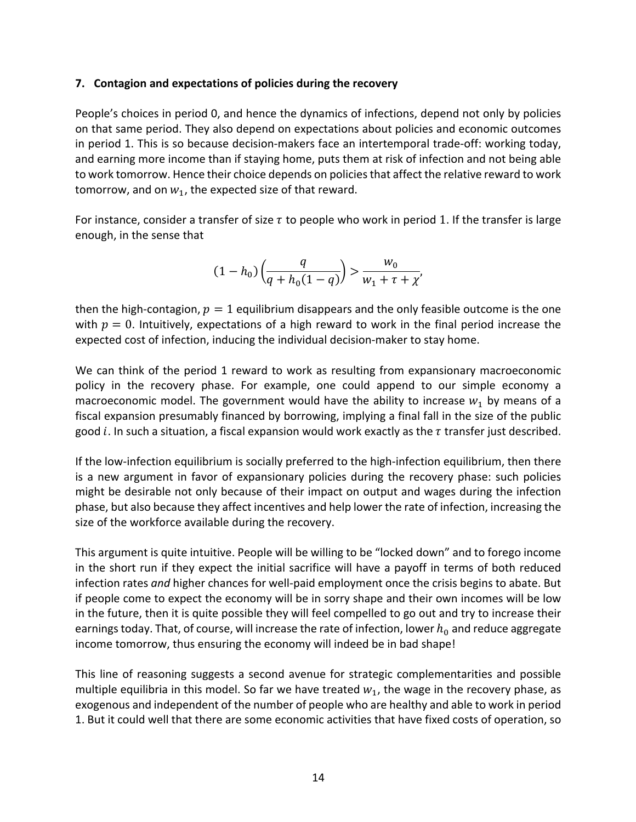#### **7. Contagion and expectations of policies during the recovery**

People's choices in period 0, and hence the dynamics of infections, depend not only by policies on that same period. They also depend on expectations about policies and economic outcomes in period 1. This is so because decision-makers face an intertemporal trade-off: working today, and earning more income than if staying home, puts them at risk of infection and not being able to work tomorrow. Hence their choice depends on policies that affect the relative reward to work tomorrow, and on  $w_1$ , the expected size of that reward.

For instance, consider a transfer of size  $\tau$  to people who work in period 1. If the transfer is large enough, in the sense that

$$
(1 - h_0) \left( \frac{q}{q + h_0(1 - q)} \right) > \frac{w_0}{w_1 + \tau + \chi'}
$$

then the high-contagion,  $p = 1$  equilibrium disappears and the only feasible outcome is the one with  $p = 0$ . Intuitively, expectations of a high reward to work in the final period increase the expected cost of infection, inducing the individual decision-maker to stay home.

We can think of the period 1 reward to work as resulting from expansionary macroeconomic policy in the recovery phase. For example, one could append to our simple economy a macroeconomic model. The government would have the ability to increase  $w_1$  by means of a fiscal expansion presumably financed by borrowing, implying a final fall in the size of the public good *i*. In such a situation, a fiscal expansion would work exactly as the  $\tau$  transfer just described.

If the low-infection equilibrium is socially preferred to the high-infection equilibrium, then there is a new argument in favor of expansionary policies during the recovery phase: such policies might be desirable not only because of their impact on output and wages during the infection phase, but also because they affect incentives and help lower the rate of infection, increasing the size of the workforce available during the recovery.

This argument is quite intuitive. People will be willing to be "locked down" and to forego income in the short run if they expect the initial sacrifice will have a payoff in terms of both reduced infection rates *and* higher chances for well-paid employment once the crisis begins to abate. But if people come to expect the economy will be in sorry shape and their own incomes will be low in the future, then it is quite possible they will feel compelled to go out and try to increase their earnings today. That, of course, will increase the rate of infection, lower  $h_0$  and reduce aggregate income tomorrow, thus ensuring the economy will indeed be in bad shape!

This line of reasoning suggests a second avenue for strategic complementarities and possible multiple equilibria in this model. So far we have treated  $w_1$ , the wage in the recovery phase, as exogenous and independent of the number of people who are healthy and able to work in period 1. But it could well that there are some economic activities that have fixed costs of operation, so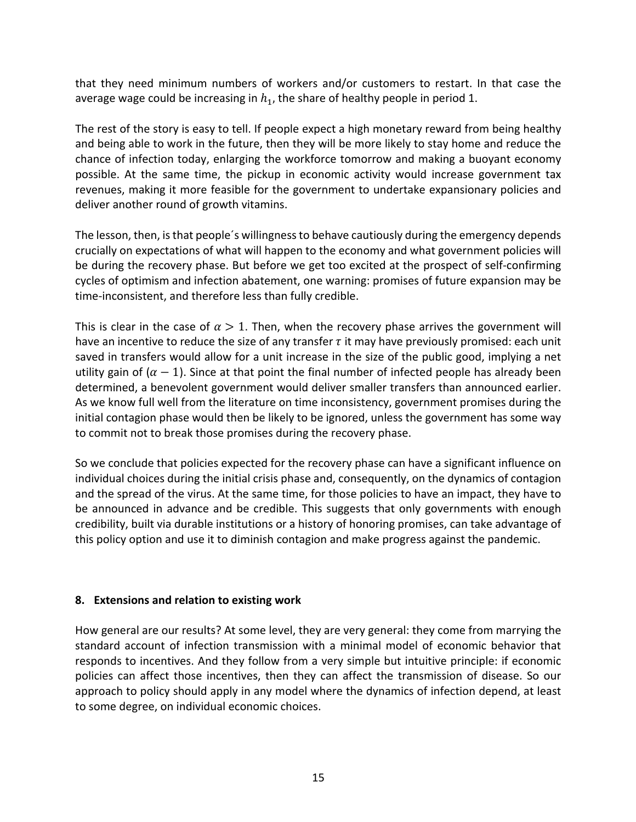that they need minimum numbers of workers and/or customers to restart. In that case the average wage could be increasing in  $h_1$ , the share of healthy people in period 1.

The rest of the story is easy to tell. If people expect a high monetary reward from being healthy and being able to work in the future, then they will be more likely to stay home and reduce the chance of infection today, enlarging the workforce tomorrow and making a buoyant economy possible. At the same time, the pickup in economic activity would increase government tax revenues, making it more feasible for the government to undertake expansionary policies and deliver another round of growth vitamins.

The lesson, then, is that people´s willingness to behave cautiously during the emergency depends crucially on expectations of what will happen to the economy and what government policies will be during the recovery phase. But before we get too excited at the prospect of self-confirming cycles of optimism and infection abatement, one warning: promises of future expansion may be time-inconsistent, and therefore less than fully credible.

This is clear in the case of  $\alpha > 1$ . Then, when the recovery phase arrives the government will have an incentive to reduce the size of any transfer  $\tau$  it may have previously promised: each unit saved in transfers would allow for a unit increase in the size of the public good, implying a net utility gain of  $(\alpha - 1)$ . Since at that point the final number of infected people has already been determined, a benevolent government would deliver smaller transfers than announced earlier. As we know full well from the literature on time inconsistency, government promises during the initial contagion phase would then be likely to be ignored, unless the government has some way to commit not to break those promises during the recovery phase.

So we conclude that policies expected for the recovery phase can have a significant influence on individual choices during the initial crisis phase and, consequently, on the dynamics of contagion and the spread of the virus. At the same time, for those policies to have an impact, they have to be announced in advance and be credible. This suggests that only governments with enough credibility, built via durable institutions or a history of honoring promises, can take advantage of this policy option and use it to diminish contagion and make progress against the pandemic.

## **8. Extensions and relation to existing work**

How general are our results? At some level, they are very general: they come from marrying the standard account of infection transmission with a minimal model of economic behavior that responds to incentives. And they follow from a very simple but intuitive principle: if economic policies can affect those incentives, then they can affect the transmission of disease. So our approach to policy should apply in any model where the dynamics of infection depend, at least to some degree, on individual economic choices.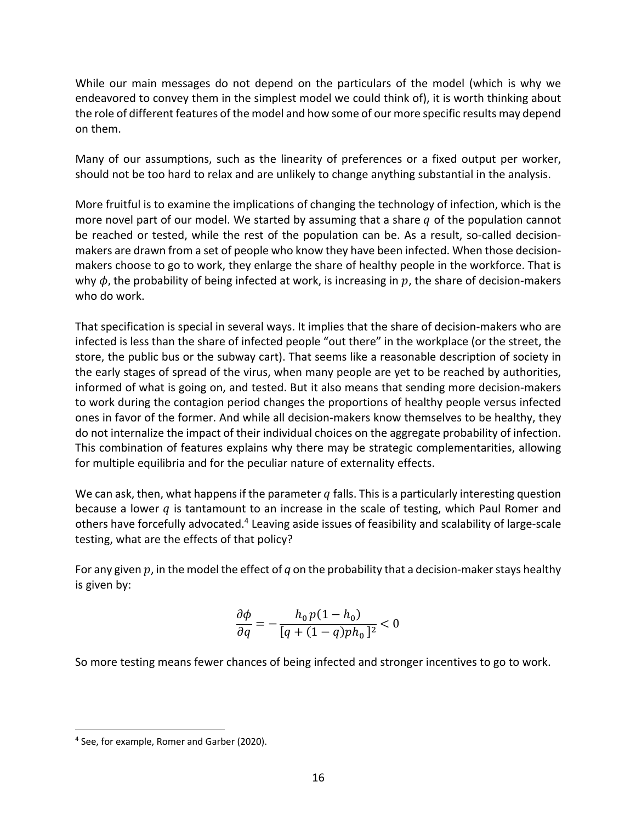While our main messages do not depend on the particulars of the model (which is why we endeavored to convey them in the simplest model we could think of), it is worth thinking about the role of different features of the model and how some of our more specific results may depend on them.

Many of our assumptions, such as the linearity of preferences or a fixed output per worker, should not be too hard to relax and are unlikely to change anything substantial in the analysis.

More fruitful is to examine the implications of changing the technology of infection, which is the more novel part of our model. We started by assuming that a share  $q$  of the population cannot be reached or tested, while the rest of the population can be. As a result, so-called decisionmakers are drawn from a set of people who know they have been infected. When those decisionmakers choose to go to work, they enlarge the share of healthy people in the workforce. That is why  $\phi$ , the probability of being infected at work, is increasing in p, the share of decision-makers who do work.

That specification is special in several ways. It implies that the share of decision-makers who are infected is less than the share of infected people "out there" in the workplace (or the street, the store, the public bus or the subway cart). That seems like a reasonable description of society in the early stages of spread of the virus, when many people are yet to be reached by authorities, informed of what is going on, and tested. But it also means that sending more decision-makers to work during the contagion period changes the proportions of healthy people versus infected ones in favor of the former. And while all decision-makers know themselves to be healthy, they do not internalize the impact of their individual choices on the aggregate probability of infection. This combination of features explains why there may be strategic complementarities, allowing for multiple equilibria and for the peculiar nature of externality effects.

We can ask, then, what happens if the parameter  $q$  falls. This is a particularly interesting question because a lower  $q$  is tantamount to an increase in the scale of testing, which Paul Romer and others have forcefully advocated.4 Leaving aside issues of feasibility and scalability of large-scale testing, what are the effects of that policy?

For any given  $p$ , in the model the effect of  $q$  on the probability that a decision-maker stays healthy is given by:

$$
\frac{\partial \phi}{\partial q} = -\frac{h_0 p (1 - h_0)}{[q + (1 - q) p h_0]^2} < 0
$$

So more testing means fewer chances of being infected and stronger incentives to go to work.

<sup>4</sup> See, for example, Romer and Garber (2020).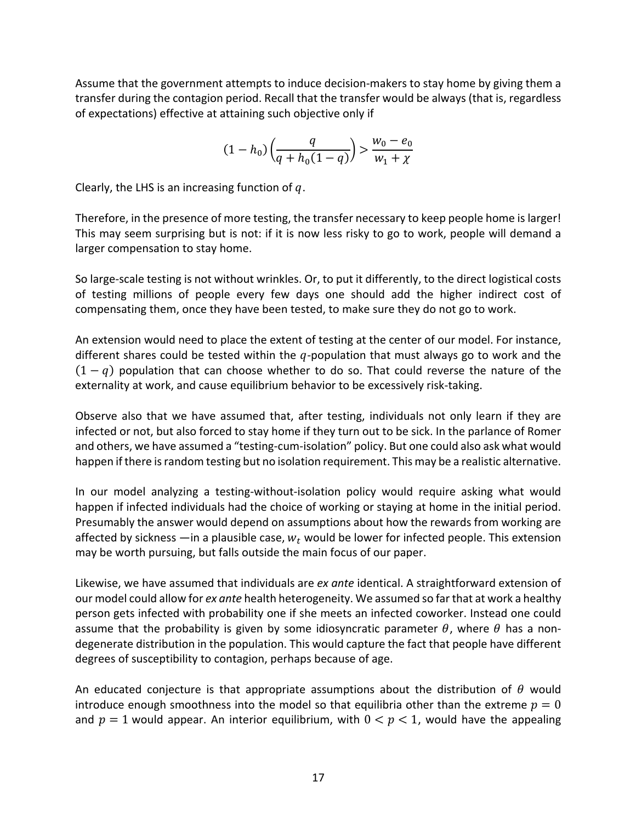Assume that the government attempts to induce decision-makers to stay home by giving them a transfer during the contagion period. Recall that the transfer would be always (that is, regardless of expectations) effective at attaining such objective only if

$$
(1-h_0)\left(\frac{q}{q+h_0(1-q)}\right) > \frac{w_0 - e_0}{w_1 + \chi}
$$

Clearly, the LHS is an increasing function of  $q$ .

Therefore, in the presence of more testing, the transfer necessary to keep people home is larger! This may seem surprising but is not: if it is now less risky to go to work, people will demand a larger compensation to stay home.

So large-scale testing is not without wrinkles. Or, to put it differently, to the direct logistical costs of testing millions of people every few days one should add the higher indirect cost of compensating them, once they have been tested, to make sure they do not go to work.

An extension would need to place the extent of testing at the center of our model. For instance, different shares could be tested within the  $q$ -population that must always go to work and the  $(1 - q)$  population that can choose whether to do so. That could reverse the nature of the externality at work, and cause equilibrium behavior to be excessively risk-taking.

Observe also that we have assumed that, after testing, individuals not only learn if they are infected or not, but also forced to stay home if they turn out to be sick. In the parlance of Romer and others, we have assumed a "testing-cum-isolation" policy. But one could also ask what would happen if there is random testing but no isolation requirement. This may be a realistic alternative.

In our model analyzing a testing-without-isolation policy would require asking what would happen if infected individuals had the choice of working or staying at home in the initial period. Presumably the answer would depend on assumptions about how the rewards from working are affected by sickness —in a plausible case,  $w_t$  would be lower for infected people. This extension may be worth pursuing, but falls outside the main focus of our paper.

Likewise, we have assumed that individuals are *ex ante* identical. A straightforward extension of our model could allow for *ex ante* health heterogeneity. We assumed so far that at work a healthy person gets infected with probability one if she meets an infected coworker. Instead one could assume that the probability is given by some idiosyncratic parameter  $\theta$ , where  $\theta$  has a nondegenerate distribution in the population. This would capture the fact that people have different degrees of susceptibility to contagion, perhaps because of age.

An educated conjecture is that appropriate assumptions about the distribution of  $\theta$  would introduce enough smoothness into the model so that equilibria other than the extreme  $p = 0$ and  $p = 1$  would appear. An interior equilibrium, with  $0 < p < 1$ , would have the appealing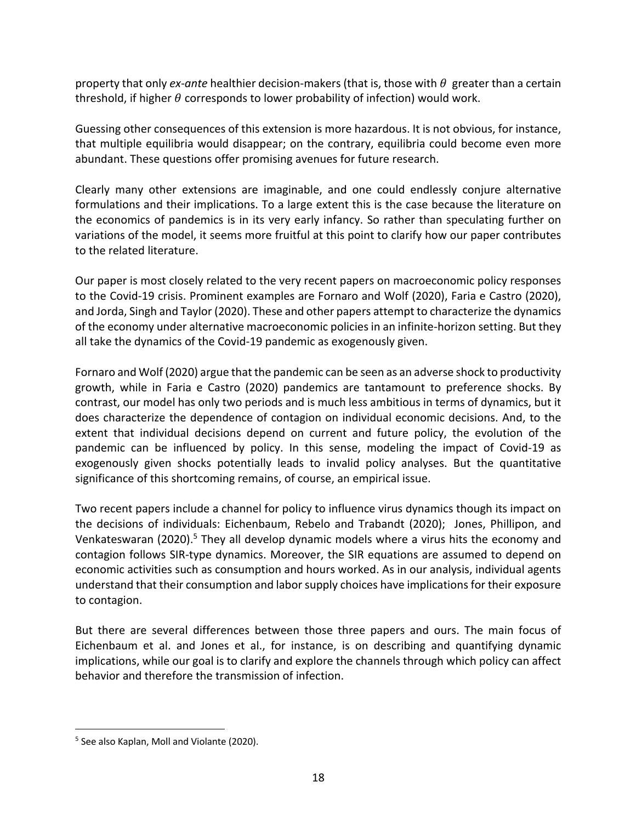property that only *ex-ante* healthier decision-makers (that is, those with  $\theta$  greater than a certain threshold, if higher  $\theta$  corresponds to lower probability of infection) would work.

Guessing other consequences of this extension is more hazardous. It is not obvious, for instance, that multiple equilibria would disappear; on the contrary, equilibria could become even more abundant. These questions offer promising avenues for future research.

Clearly many other extensions are imaginable, and one could endlessly conjure alternative formulations and their implications. To a large extent this is the case because the literature on the economics of pandemics is in its very early infancy. So rather than speculating further on variations of the model, it seems more fruitful at this point to clarify how our paper contributes to the related literature.

Our paper is most closely related to the very recent papers on macroeconomic policy responses to the Covid-19 crisis. Prominent examples are Fornaro and Wolf (2020), Faria e Castro (2020), and Jorda, Singh and Taylor (2020). These and other papers attempt to characterize the dynamics of the economy under alternative macroeconomic policies in an infinite-horizon setting. But they all take the dynamics of the Covid-19 pandemic as exogenously given.

Fornaro and Wolf (2020) argue that the pandemic can be seen as an adverse shock to productivity growth, while in Faria e Castro (2020) pandemics are tantamount to preference shocks. By contrast, our model has only two periods and is much less ambitious in terms of dynamics, but it does characterize the dependence of contagion on individual economic decisions. And, to the extent that individual decisions depend on current and future policy, the evolution of the pandemic can be influenced by policy. In this sense, modeling the impact of Covid-19 as exogenously given shocks potentially leads to invalid policy analyses. But the quantitative significance of this shortcoming remains, of course, an empirical issue.

Two recent papers include a channel for policy to influence virus dynamics though its impact on the decisions of individuals: Eichenbaum, Rebelo and Trabandt (2020); Jones, Phillipon, and Venkateswaran (2020).<sup>5</sup> They all develop dynamic models where a virus hits the economy and contagion follows SIR-type dynamics. Moreover, the SIR equations are assumed to depend on economic activities such as consumption and hours worked. As in our analysis, individual agents understand that their consumption and labor supply choices have implications for their exposure to contagion.

But there are several differences between those three papers and ours. The main focus of Eichenbaum et al. and Jones et al., for instance, is on describing and quantifying dynamic implications, while our goal is to clarify and explore the channels through which policy can affect behavior and therefore the transmission of infection.

<sup>&</sup>lt;sup>5</sup> See also Kaplan, Moll and Violante (2020).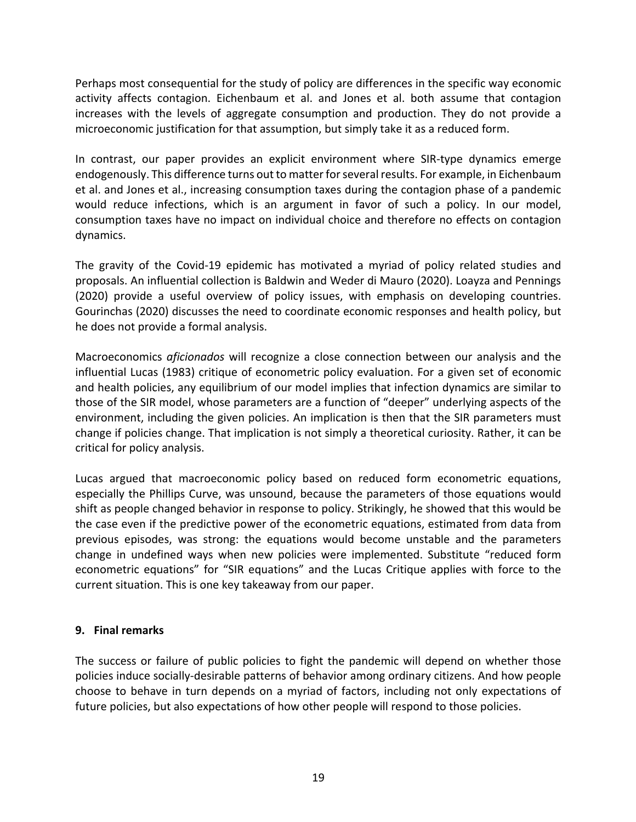Perhaps most consequential for the study of policy are differences in the specific way economic activity affects contagion. Eichenbaum et al. and Jones et al. both assume that contagion increases with the levels of aggregate consumption and production. They do not provide a microeconomic justification for that assumption, but simply take it as a reduced form.

In contrast, our paper provides an explicit environment where SIR-type dynamics emerge endogenously. This difference turns out to matterfor several results. For example, in Eichenbaum et al. and Jones et al., increasing consumption taxes during the contagion phase of a pandemic would reduce infections, which is an argument in favor of such a policy. In our model, consumption taxes have no impact on individual choice and therefore no effects on contagion dynamics.

The gravity of the Covid-19 epidemic has motivated a myriad of policy related studies and proposals. An influential collection is Baldwin and Weder di Mauro (2020). Loayza and Pennings (2020) provide a useful overview of policy issues, with emphasis on developing countries. Gourinchas (2020) discusses the need to coordinate economic responses and health policy, but he does not provide a formal analysis.

Macroeconomics *aficionados* will recognize a close connection between our analysis and the influential Lucas (1983) critique of econometric policy evaluation. For a given set of economic and health policies, any equilibrium of our model implies that infection dynamics are similar to those of the SIR model, whose parameters are a function of "deeper" underlying aspects of the environment, including the given policies. An implication is then that the SIR parameters must change if policies change. That implication is not simply a theoretical curiosity. Rather, it can be critical for policy analysis.

Lucas argued that macroeconomic policy based on reduced form econometric equations, especially the Phillips Curve, was unsound, because the parameters of those equations would shift as people changed behavior in response to policy. Strikingly, he showed that this would be the case even if the predictive power of the econometric equations, estimated from data from previous episodes, was strong: the equations would become unstable and the parameters change in undefined ways when new policies were implemented. Substitute "reduced form econometric equations" for "SIR equations" and the Lucas Critique applies with force to the current situation. This is one key takeaway from our paper.

## **9. Final remarks**

The success or failure of public policies to fight the pandemic will depend on whether those policies induce socially-desirable patterns of behavior among ordinary citizens. And how people choose to behave in turn depends on a myriad of factors, including not only expectations of future policies, but also expectations of how other people will respond to those policies.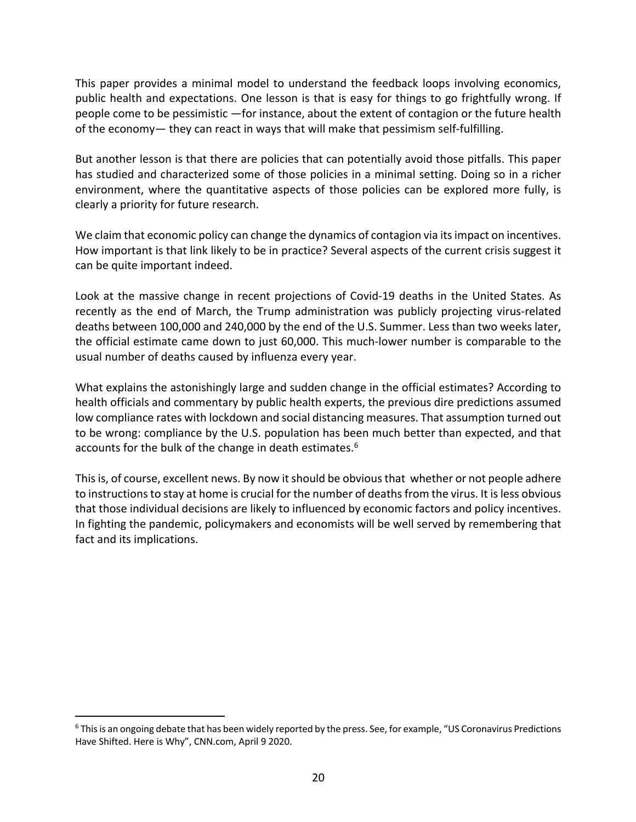This paper provides a minimal model to understand the feedback loops involving economics, public health and expectations. One lesson is that is easy for things to go frightfully wrong. If people come to be pessimistic —for instance, about the extent of contagion or the future health of the economy— they can react in ways that will make that pessimism self-fulfilling.

But another lesson is that there are policies that can potentially avoid those pitfalls. This paper has studied and characterized some of those policies in a minimal setting. Doing so in a richer environment, where the quantitative aspects of those policies can be explored more fully, is clearly a priority for future research.

We claim that economic policy can change the dynamics of contagion via its impact on incentives. How important is that link likely to be in practice? Several aspects of the current crisis suggest it can be quite important indeed.

Look at the massive change in recent projections of Covid-19 deaths in the United States. As recently as the end of March, the Trump administration was publicly projecting virus-related deaths between 100,000 and 240,000 by the end of the U.S. Summer. Less than two weeks later, the official estimate came down to just 60,000. This much-lower number is comparable to the usual number of deaths caused by influenza every year.

What explains the astonishingly large and sudden change in the official estimates? According to health officials and commentary by public health experts, the previous dire predictions assumed low compliance rates with lockdown and social distancing measures. That assumption turned out to be wrong: compliance by the U.S. population has been much better than expected, and that accounts for the bulk of the change in death estimates.<sup>6</sup>

This is, of course, excellent news. By now it should be obvious that whether or not people adhere to instructions to stay at home is crucial for the number of deaths from the virus. It is less obvious that those individual decisions are likely to influenced by economic factors and policy incentives. In fighting the pandemic, policymakers and economists will be well served by remembering that fact and its implications.

<sup>&</sup>lt;sup>6</sup> This is an ongoing debate that has been widely reported by the press. See, for example, "US Coronavirus Predictions Have Shifted. Here is Why", CNN.com, April 9 2020.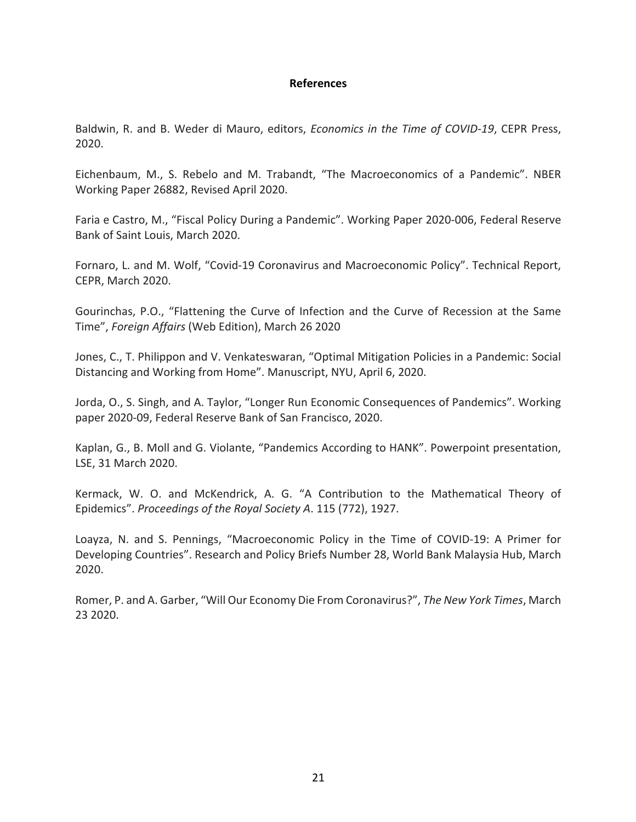#### **References**

Baldwin, R. and B. Weder di Mauro, editors, *Economics in the Time of COVID-19*, CEPR Press, 2020.

Eichenbaum, M., S. Rebelo and M. Trabandt, "The Macroeconomics of a Pandemic". NBER Working Paper 26882, Revised April 2020.

Faria e Castro, M., "Fiscal Policy During a Pandemic". Working Paper 2020-006, Federal Reserve Bank of Saint Louis, March 2020.

Fornaro, L. and M. Wolf, "Covid-19 Coronavirus and Macroeconomic Policy". Technical Report, CEPR, March 2020.

Gourinchas, P.O., "Flattening the Curve of Infection and the Curve of Recession at the Same Time", *Foreign Affairs* (Web Edition), March 26 2020

Jones, C., T. Philippon and V. Venkateswaran, "Optimal Mitigation Policies in a Pandemic: Social Distancing and Working from Home". Manuscript, NYU, April 6, 2020.

Jorda, O., S. Singh, and A. Taylor, "Longer Run Economic Consequences of Pandemics". Working paper 2020-09, Federal Reserve Bank of San Francisco, 2020.

Kaplan, G., B. Moll and G. Violante, "Pandemics According to HANK". Powerpoint presentation, LSE, 31 March 2020.

Kermack, W. O. and McKendrick, A. G. "A Contribution to the Mathematical Theory of Epidemics". *Proceedings of the Royal Society A*. 115 (772), 1927.

Loayza, N. and S. Pennings, "Macroeconomic Policy in the Time of COVID-19: A Primer for Developing Countries". Research and Policy Briefs Number 28, World Bank Malaysia Hub, March 2020.

Romer, P. and A. Garber, "Will Our Economy Die From Coronavirus?", *The New York Times*, March 23 2020.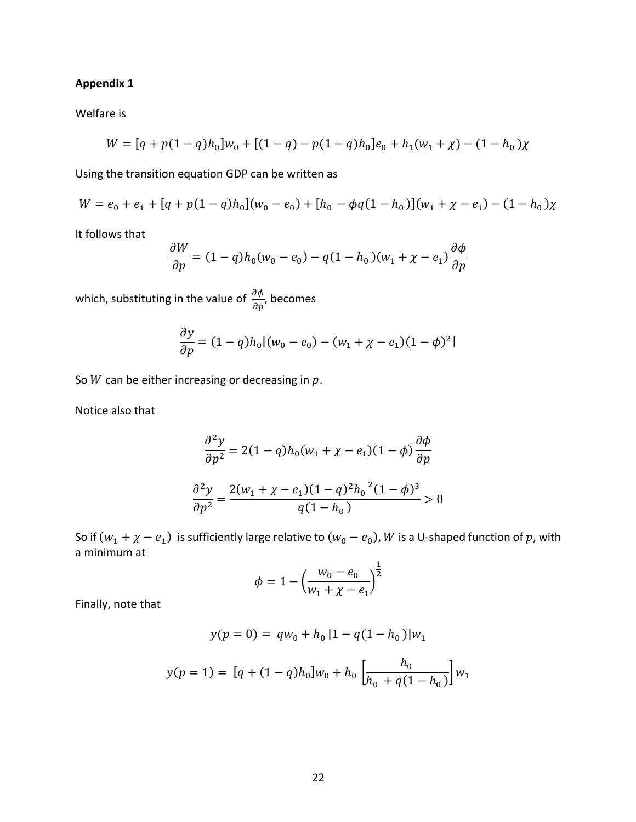### **Appendix 1**

Welfare is

$$
W = [q + p(1 - q)h_0]w_0 + [(1 - q) - p(1 - q)h_0]e_0 + h_1(w_1 + \chi) - (1 - h_0)\chi
$$

Using the transition equation GDP can be written as

$$
W = e_0 + e_1 + [q + p(1 - q)h_0](w_0 - e_0) + [h_0 - \phi q(1 - h_0)](w_1 + \chi - e_1) - (1 - h_0)\chi
$$

It follows that

$$
\frac{\partial W}{\partial p} = (1 - q)h_0(w_0 - e_0) - q(1 - h_0)(w_1 + \chi - e_1)\frac{\partial \phi}{\partial p}
$$

which, substituting in the value of  $\frac{\partial \phi}{\partial p}$ , becomes

$$
\frac{\partial y}{\partial p} = (1 - q)h_0[(w_0 - e_0) - (w_1 + \chi - e_1)(1 - \phi)^2]
$$

So  $W$  can be either increasing or decreasing in  $p$ .

Notice also that

$$
\frac{\partial^2 y}{\partial p^2} = 2(1 - q)h_0(w_1 + \chi - e_1)(1 - \phi)\frac{\partial \phi}{\partial p}
$$

$$
\frac{\partial^2 y}{\partial p^2} = \frac{2(w_1 + \chi - e_1)(1 - q)^2h_0^2(1 - \phi)^3}{q(1 - h_0)} > 0
$$

So if  $(w_1 + \chi - e_1)$  is sufficiently large relative to  $(w_0 - e_0)$ , W is a U-shaped function of p, with a minimum at 4

$$
\phi = 1 - \left(\frac{w_0 - e_0}{w_1 + \chi - e_1}\right)^{\frac{1}{2}}
$$

Finally, note that

$$
y(p = 0) = qw_0 + h_0 \left[1 - q(1 - h_0)\right] w_1
$$

$$
y(p = 1) = \left[q + (1 - q)h_0\right] w_0 + h_0 \left[\frac{h_0}{h_0 + q(1 - h_0)}\right] w_1
$$